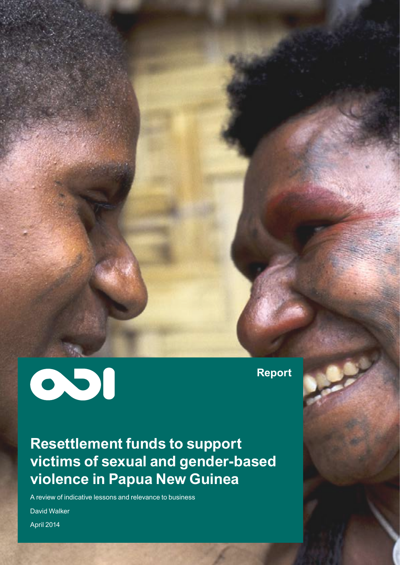

**Report**

**Resettlement funds to support victims of sexual and gender-based violence in Papua New Guinea**

A review of indicative lessons and relevance to business

David Walker

April 2014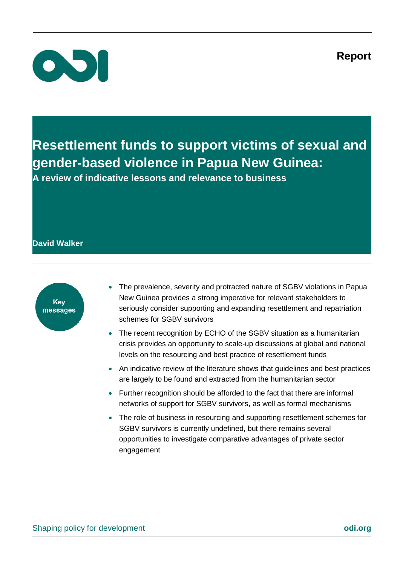**Report**



**Resettlement funds to support victims of sexual and gender-based violence in Papua New Guinea: A review of indicative lessons and relevance to business**

## **David Walker**



- The prevalence, severity and protracted nature of SGBV violations in Papua New Guinea provides a strong imperative for relevant stakeholders to seriously consider supporting and expanding resettlement and repatriation schemes for SGBV survivors
- The recent recognition by ECHO of the SGBV situation as a humanitarian crisis provides an opportunity to scale-up discussions at global and national levels on the resourcing and best practice of resettlement funds
- An indicative review of the literature shows that guidelines and best practices are largely to be found and extracted from the humanitarian sector
- Further recognition should be afforded to the fact that there are informal networks of support for SGBV survivors, as well as formal mechanisms
- The role of business in resourcing and supporting resettlement schemes for SGBV survivors is currently undefined, but there remains several opportunities to investigate comparative advantages of private sector engagement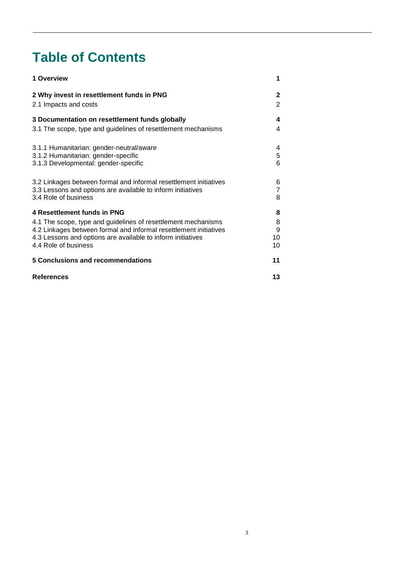# **Table of Contents**

| 1 Overview                                                        | 1  |
|-------------------------------------------------------------------|----|
| 2 Why invest in resettlement funds in PNG                         | 2  |
| 2.1 Impacts and costs                                             | 2  |
| 3 Documentation on resettlement funds globally                    | 4  |
| 3.1 The scope, type and guidelines of resettlement mechanisms     | 4  |
| 3.1.1 Humanitarian: gender-neutral/aware                          | 4  |
| 3.1.2 Humanitarian: gender-specific                               | 5  |
| 3.1.3 Developmental: gender-specific                              | 6  |
| 3.2 Linkages between formal and informal resettlement initiatives | 6  |
| 3.3 Lessons and options are available to inform initiatives       | 7  |
| 3.4 Role of business                                              | 8  |
| 4 Resettlement funds in PNG                                       | 8  |
| 4.1 The scope, type and guidelines of resettlement mechanisms     | 8  |
| 4.2 Linkages between formal and informal resettlement initiatives | 9  |
| 4.3 Lessons and options are available to inform initiatives       | 10 |
| 4.4 Role of business                                              | 10 |
| 5 Conclusions and recommendations                                 | 11 |
| <b>References</b>                                                 | 13 |

1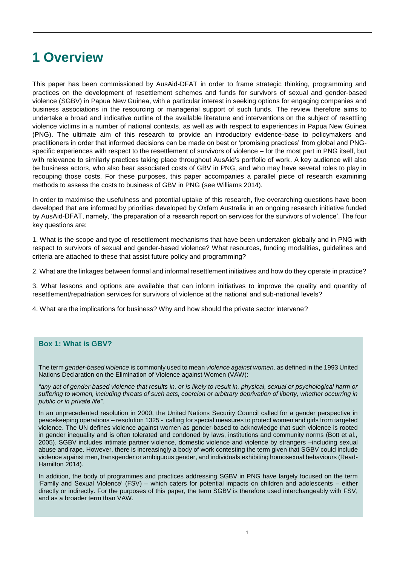## <span id="page-3-0"></span>**1 Overview**

This paper has been commissioned by AusAid-DFAT in order to frame strategic thinking, programming and practices on the development of resettlement schemes and funds for survivors of sexual and gender-based violence (SGBV) in Papua New Guinea, with a particular interest in seeking options for engaging companies and business associations in the resourcing or managerial support of such funds. The review therefore aims to undertake a broad and indicative outline of the available literature and interventions on the subject of resettling violence victims in a number of national contexts, as well as with respect to experiences in Papua New Guinea (PNG). The ultimate aim of this research to provide an introductory evidence-base to policymakers and practitioners in order that informed decisions can be made on best or 'promising practices' from global and PNGspecific experiences with respect to the resettlement of survivors of violence – for the most part in PNG itself, but with relevance to similarly practices taking place throughout AusAid's portfolio of work. A key audience will also be business actors, who also bear associated costs of GBV in PNG, and who may have several roles to play in recouping those costs. For these purposes, this paper accompanies a parallel piece of research examining methods to assess the costs to business of GBV in PNG (see Williams 2014).

In order to maximise the usefulness and potential uptake of this research, five overarching questions have been developed that are informed by priorities developed by Oxfam Australia in an ongoing research initiative funded by AusAid-DFAT, namely, 'the preparation of a research report on services for the survivors of violence'. The four key questions are:

1. What is the scope and type of resettlement mechanisms that have been undertaken globally and in PNG with respect to survivors of sexual and gender-based violence? What resources, funding modalities, guidelines and criteria are attached to these that assist future policy and programming?

2. What are the linkages between formal and informal resettlement initiatives and how do they operate in practice?

3. What lessons and options are available that can inform initiatives to improve the quality and quantity of resettlement/repatriation services for survivors of violence at the national and sub-national levels?

4. What are the implications for business? Why and how should the private sector intervene?

### **Box 1: What is GBV?**

The term *gender-based violence* is commonly used to mean *violence against women,* as defined in the 1993 United Nations Declaration on the Elimination of Violence against Women (VAW):

*"any act of gender-based violence that results in, or is likely to result in, physical, sexual or psychological harm or suffering to women, including threats of such acts, coercion or arbitrary deprivation of liberty, whether occurring in public or in private life"*.

In an unprecedented resolution in 2000, the United Nations Security Council called for a gender perspective in peacekeeping operations – resolution 1325 - calling for special measures to protect women and girls from targeted violence. The UN defines violence against women as gender-based to acknowledge that such violence is rooted in gender inequality and is often tolerated and condoned by laws, institutions and community norms (Bott et al., 2005). SGBV includes intimate partner violence, domestic violence and violence by strangers –including sexual abuse and rape. However, there is increasingly a body of work contesting the term given that SGBV could include violence against men, transgender or ambiguous gender, and individuals exhibiting homosexual behaviours (Read-Hamilton 2014).

In addition, the body of programmes and practices addressing SGBV in PNG have largely focused on the term 'Family and Sexual Violence' (FSV) – which caters for potential impacts on children and adolescents – either directly or indirectly. For the purposes of this paper, the term SGBV is therefore used interchangeably with FSV, and as a broader term than VAW.

1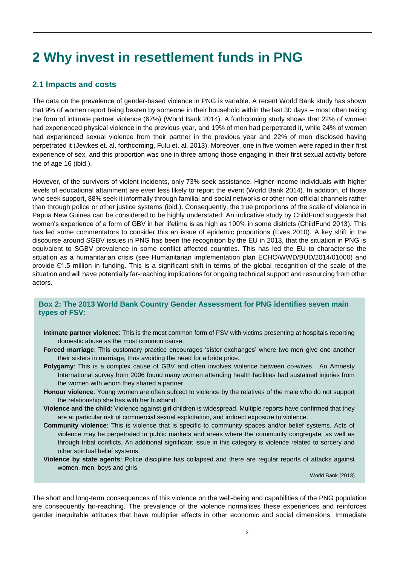# <span id="page-4-0"></span>**2 Why invest in resettlement funds in PNG**

## <span id="page-4-1"></span>**2.1 Impacts and costs**

The data on the prevalence of gender-based violence in PNG is variable. A recent World Bank study has shown that 9% of women report being beaten by someone in their household within the last 30 days – most often taking the form of intimate partner violence (67%) (World Bank 2014). A forthcoming study shows that 22% of women had experienced physical violence in the previous year, and 19% of men had perpetrated it, while 24% of women had experienced sexual violence from their partner in the previous year and 22% of men disclosed having perpetrated it (Jewkes et. al. forthcoming, Fulu et. al. 2013). Moreover, one in five women were raped in their first experience of sex, and this proportion was one in three among those engaging in their first sexual activity before the of age 16 (ibid.).

However, of the survivors of violent incidents, only 73% seek assistance. Higher-income individuals with higher levels of educational attainment are even less likely to report the event (World Bank 2014). In addition, of those who seek support, 88% seek it informally through familial and social networks or other non-official channels rather than through police or other justice systems (ibid.). Consequently, the true proportions of the scale of violence in Papua New Guinea can be considered to be highly understated. An indicative study by ChildFund suggests that women's experience of a form of GBV in her lifetime is as high as 100% in some districts (ChildFund 2013). This has led some commentators to consider this an issue of epidemic proportions (Eves 2010). A key shift in the discourse around SGBV issues in PNG has been the recognition by the EU in 2013, that the situation in PNG is equivalent to SGBV prevalence in some conflict affected countries. This has led the EU to characterise the situation as a humanitarian crisis (see Humanitarian implementation plan ECHO/WWD/BUD/2014/01000) and provide €1.5 million in funding. This is a significant shift in terms of the global recognition of the scale of the situation and will have potentially far-reaching implications for ongoing technical support and resourcing from other actors.

### **Box 2: The 2013 World Bank Country Gender Assessment for PNG identifies seven main types of FSV:**

- **Intimate partner violence**: This is the most common form of FSV with victims presenting at hospitals reporting domestic abuse as the most common cause.
- **Forced marriage**: This customary practice encourages 'sister exchanges' where two men give one another their sisters in marriage, thus avoiding the need for a bride price.
- **Polygamy**: This is a complex cause of GBV and often involves violence between co-wives. An Amnesty International survey from 2006 found many women attending health facilities had sustained injuries from the women with whom they shared a partner.
- **Honour violence**: Young women are often subject to violence by the relatives of the male who do not support the relationship she has with her husband.
- **Violence and the child**: Violence against girl children is widespread. Multiple reports have confirmed that they are at particular risk of commercial sexual exploitation, and indirect exposure to violence.
- **Community violence**: This is violence that is specific to community spaces and/or belief systems. Acts of violence may be perpetrated in public markets and areas where the community congregate, as well as through tribal conflicts. An additional significant issue in this category is violence related to sorcery and other spiritual belief systems.
- **Violence by state agents**: Police discipline has collapsed and there are regular reports of attacks against women, men, boys and girls.

World Bank (2013)

The short and long-term consequences of this violence on the well-being and capabilities of the PNG population are consequently far-reaching. The prevalence of the violence normalises these experiences and reinforces gender inequitable attitudes that have multiplier effects in other economic and social dimensions. Immediate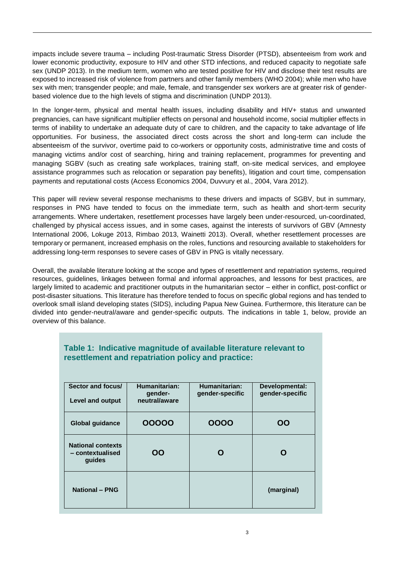impacts include severe trauma – including Post-traumatic Stress Disorder (PTSD), absenteeism from work and lower economic productivity, exposure to HIV and other STD infections, and reduced capacity to negotiate safe sex (UNDP 2013). In the medium term, women who are tested positive for HIV and disclose their test results are exposed to increased risk of violence from partners and other family members (WHO 2004); while men who have sex with men; transgender people; and male, female, and transgender sex workers are at greater risk of genderbased violence due to the high levels of stigma and discrimination (UNDP 2013).

In the longer-term, physical and mental health issues, including disability and HIV+ status and unwanted pregnancies, can have significant multiplier effects on personal and household income, social multiplier effects in terms of inability to undertake an adequate duty of care to children, and the capacity to take advantage of life opportunities. For business, the associated direct costs across the short and long-term can include the absenteeism of the survivor, overtime paid to co-workers or opportunity costs, administrative time and costs of managing victims and/or cost of searching, hiring and training replacement, programmes for preventing and managing SGBV (such as creating safe workplaces, training staff, on-site medical services, and employee assistance programmes such as relocation or separation pay benefits), litigation and court time, compensation payments and reputational costs (Access Economics 2004, Duvvury et al., 2004, Vara 2012).

This paper will review several response mechanisms to these drivers and impacts of SGBV, but in summary, responses in PNG have tended to focus on the immediate term, such as health and short-term security arrangements. Where undertaken, resettlement processes have largely been under-resourced, un-coordinated, challenged by physical access issues, and in some cases, against the interests of survivors of GBV (Amnesty International 2006, Lokuge 2013, Rimbao 2013, Wainetti 2013). Overall, whether resettlement processes are temporary or permanent, increased emphasis on the roles, functions and resourcing available to stakeholders for addressing long-term responses to severe cases of GBV in PNG is vitally necessary.

Overall, the available literature looking at the scope and types of resettlement and repatriation systems, required resources, guidelines, linkages between formal and informal approaches, and lessons for best practices, are largely limited to academic and practitioner outputs in the humanitarian sector – either in conflict, post-conflict or post-disaster situations. This literature has therefore tended to focus on specific global regions and has tended to overlook small island developing states (SIDS), including Papua New Guinea. Furthermore, this literature can be divided into gender-neutral/aware and gender-specific outputs. The indications in table 1, below, provide an overview of this balance.

| Sector and focus/<br><b>Level and output</b>           | Humanitarian:<br>gender-<br>neutral/aware | Humanitarian:<br>gender-specific | Developmental:<br>gender-specific |
|--------------------------------------------------------|-------------------------------------------|----------------------------------|-----------------------------------|
| <b>Global guidance</b>                                 | 00000                                     | 0000                             | OO                                |
| <b>National contexts</b><br>- contextualised<br>guides | OΟ                                        | O                                | O                                 |
| <b>National - PNG</b>                                  |                                           |                                  | (marginal)                        |

## **Table 1: Indicative magnitude of available literature relevant to resettlement and repatriation policy and practice:**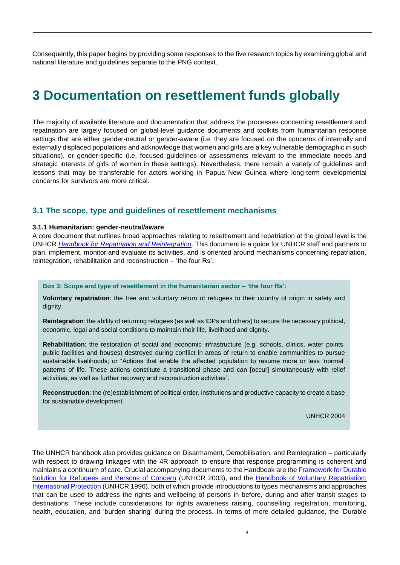Consequently, this paper begins by providing some responses to the five research topics by examining global and national literature and guidelines separate to the PNG context.

## <span id="page-6-0"></span>**3 Documentation on resettlement funds globally**

The majority of available literature and documentation that address the processes concerning resettlement and repatriation are largely focused on global-level guidance documents and toolkits from humanitarian response settings that are either gender-neutral or gender-aware (i.e. they are focused on the concerns of internally and externally displaced populations and acknowledge that women and girls are a key vulnerable demographic in such situations), or gender-specific (i.e. focused guidelines or assessments relevant to the immediate needs and strategic interests of girls of women in these settings). Nevertheless, there remain a variety of guidelines and lessons that may be transferable for actors working in Papua New Guinea where long-term developmental concerns for survivors are more critical.

#### <span id="page-6-1"></span>**3.1 The scope, type and guidelines of resettlement mechanisms**

#### <span id="page-6-2"></span>**3.1.1 Humanitarian: gender-neutral/aware**

A core document that outlines broad approaches relating to resettlement and repatriation at the global level is the UNHCR *[Handbook for Repatriation and Reintegration](http://www.refworld.org/pdfid/416bd1194.pdf)*. This document is a guide for UNHCR staff and partners to plan, implement, monitor and evaluate its activities, and is oriented around mechanisms concerning repatriation, reintegration, rehabilitation and reconstruction – 'the four Rs'.

#### **Box 3: Scope and type of resettlement in the humanitarian sector – 'the four Rs':**

**Voluntary repatriation**: the free and voluntary return of refugees to their country of origin in safety and dignity.

**Reintegration**: the ability of returning refugees (as well as IDPs and others) to secure the necessary political, economic, legal and social conditions to maintain their life, livelihood and dignity.

**Rehabilitation**: the restoration of social and economic infrastructure (e.g. schools, clinics, water points, public facilities and houses) destroyed during conflict in areas of return to enable communities to pursue sustainable livelihoods; or "Actions that enable the affected population to resume more or less 'normal' patterns of life. These actions constitute a transitional phase and can [occur] simultaneously with relief activities, as well as further recovery and reconstruction activities".

**Reconstruction**: the (re)establishment of political order, institutions and productive capacity to create a base for sustainable development.

#### UNHCR 2004

The UNHCR handbook also provides guidance on Disarmament, Demobilisation, and Reintegration – particularly with respect to drawing linkages with the 4R approach to ensure that response programming is coherent and maintains a continuum of care. Crucial accompanying documents to the Handbook are th[e Framework for Durable](http://www.refworld.org/docid/4124b6a04.html)  [Solution for Refugees and Persons of Concern](http://www.refworld.org/docid/4124b6a04.html) (UNHCR 2003), and the [Handbook of Voluntary Repatriation:](http://www.unhcr.org/3bfe68d32.html)  [International Protection](http://www.unhcr.org/3bfe68d32.html) (UNHCR 1996), both of which provide introductions to types mechanisms and approaches that can be used to address the rights and wellbeing of persons in before, during and after transit stages to destinations. These include considerations for rights awareness raising, counselling, registration, monitoring, health, education, and 'burden sharing' during the process. In terms of more detailed guidance, the 'Durable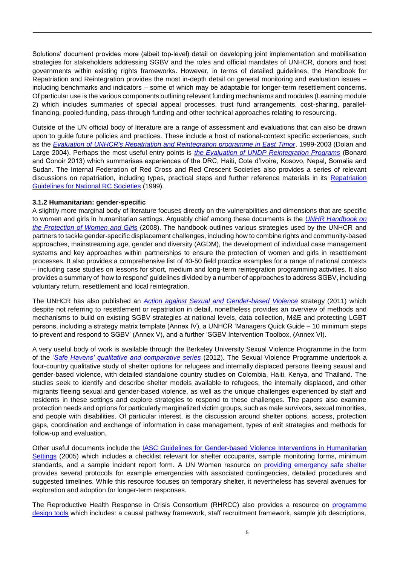Solutions' document provides more (albeit top-level) detail on developing joint implementation and mobilisation strategies for stakeholders addressing SGBV and the roles and official mandates of UNHCR, donors and host governments within existing rights frameworks. However, in terms of detailed guidelines, the Handbook for Repatriation and Reintegration provides the most in-depth detail on general monitoring and evaluation issues – including benchmarks and indicators – some of which may be adaptable for longer-term resettlement concerns. Of particular use is the various components outlining relevant funding mechanisms and modules (Learning module 2) which includes summaries of special appeal processes, trust fund arrangements, cost-sharing, parallelfinancing, pooled-funding, pass-through funding and other technical approaches relating to resourcing.

Outside of the UN official body of literature are a range of assessment and evaluations that can also be drawn upon to guide future policies and practices. These include a host of national-context specific experiences, such as the *[Evaluation of UNHCR's Repatriation and Reintegration programme in East Timor](http://www.alnap.org/resource/3198.aspx)*, 1999-2003 (Dolan and Large 2004). Perhaps the most useful entry points is *[the Evaluation of UNDP Reintegration Programs](http://erc.undp.org/evaluationadmin/manageevaluation/viewevaluationdetail.html?evalid=6162)* (Bonard and Conoir 2013) which summarises experiences of the DRC, Haiti, Cote d'Ivoire, Kosovo, Nepal, Somalia and Sudan. The Internal Federation of Red Cross and Red Crescent Societies also provides a series of relevant discussions on repatriation, including types, practical steps and further reference materials in its [Repatriation](http://www.ifrc.org/Global/Publications/migration/perco/perco-repatriation-en.pdf)  [Guidelines for National RC Societies](http://www.ifrc.org/Global/Publications/migration/perco/perco-repatriation-en.pdf) (1999).

#### <span id="page-7-0"></span>**3.1.2 Humanitarian: gender-specific**

A slightly more marginal body of literature focuses directly on the vulnerabilities and dimensions that are specific to women and girls in humanitarian settings. Arguably chief among these documents is the *[UNHR Handbook on](http://www.refworld.org/docid/47cfc2962.html)  [the Protection of Women and Girls](http://www.refworld.org/docid/47cfc2962.html)* (2008). The handbook outlines various strategies used by the UNHCR and partners to tackle gender-specific displacement challenges, including how to combine rights and community-based approaches, mainstreaming age, gender and diversity (AGDM), the development of individual case management systems and key approaches within partnerships to ensure the protection of women and girls in resettlement processes. It also provides a comprehensive list of 40-50 field practice examples for a range of national contexts – including case studies on lessons for short, medium and long-term reintegration programming activities. It also provides a summary of 'how to respond' guidelines divided by a number of approaches to address SGBV, including voluntary return, resettlement and local reintegration.

The UNHCR has also published an *[Action against Sexual and Gender-based Violence](http://www.unhcr.org/4e1d5aba9.pdf)* strategy (2011) which despite not referring to resettlement or repatriation in detail, nonetheless provides an overview of methods and mechanisms to build on existing SGBV strategies at national levels, data collection, M&E and protecting LGBT persons, including a strategy matrix template (Annex IV), a UNHCR 'Managers Quick Guide – 10 minimum steps to prevent and respond to SGBV' (Annex V), and a further 'SGBV Intervention Toolbox, (Annex VI).

A very useful body of work is available through the Berkeley University Sexual Violence Programme in the form of the *['Safe Havens' qualitative and comparative series](http://www.law.berkeley.edu/files/HRC/SS_Comparative_web.pdf)* (2012). The Sexual Violence Programme undertook a four-country qualitative study of shelter options for refugees and internally displaced persons fleeing sexual and gender-based violence, with detailed standalone country studies on Colombia, Haiti, Kenya, and Thailand. The studies seek to identify and describe shelter models available to refugees, the internally displaced, and other migrants fleeing sexual and gender-based violence, as well as the unique challenges experienced by staff and residents in these settings and explore strategies to respond to these challenges. The papers also examine protection needs and options for particularly marginalized victim groups, such as male survivors, sexual minorities, and people with disabilities. Of particular interest, is the discussion around shelter options, access, protection gaps, coordination and exchange of information in case management, types of exit strategies and methods for follow-up and evaluation.

Other useful documents include the [IASC Guidelines for Gender-based Violence Interventions in Humanitarian](file:///C:/Users/dwalker/Downloads/tfgender_GBVGuidelines2005.pdf)  [Settings](file:///C:/Users/dwalker/Downloads/tfgender_GBVGuidelines2005.pdf) (2005) which includes a checklist relevant for shelter occupants, sample monitoring forms, minimum standards, and a sample incident report form. A UN Women resource on [providing emergency safe shelter](http://www.endvawnow.org/en/articles/1575-provide-emergency-safe-shelter.html) provides several protocols for example emergencies with associated contingencies, detailed procedures and suggested timelines. While this resource focuses on temporary shelter, it nevertheless has several avenues for exploration and adoption for longer-term responses.

The Reproductive Health Response in Crisis Consortium (RHRCC) also provides a resource on [programme](http://www.rhrc.org/resources/gbv_manual_chapters/GBV147-171a%20-%20program%20design.pdf)  [design tools](http://www.rhrc.org/resources/gbv_manual_chapters/GBV147-171a%20-%20program%20design.pdf) which includes: a causal pathway framework, staff recruitment framework, sample job descriptions,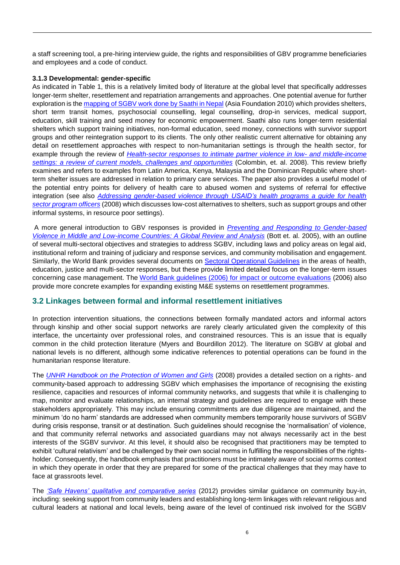a staff screening tool, a pre-hiring interview guide, the rights and responsibilities of GBV programme beneficiaries and employees and a code of conduct.

#### <span id="page-8-0"></span>**3.1.3 Developmental: gender-specific**

As indicated in Table 1, this is a relatively limited body of literature at the global level that specifically addresses longer-term shelter, resettlement and repatriation arrangements and approaches. One potential avenue for further exploration is the [mapping of SGBV work done by Saathi in Nepal](http://www.womankind.org.uk/wp-content/uploads/2012/03/Saathi-Nepal-GBV-Mapping-July-2010.pdf) (Asia Foundation 2010) which provides shelters, short term transit homes, psychosocial counselling, legal counselling, drop-in services, medical support, education, skill training and seed money for economic empowerment. Saathi also runs longer-term residential shelters which support training initiatives, non-formal education, seed money, connections with survivor support groups and other reintegration support to its clients. The only other realistic current alternative for obtaining any detail on resettlement approaches with respect to non-humanitarian settings is through the health sector, for example through the review of *[Health-sector responses to intimate partner violence in low-](http://www.who.int/bulletin/volumes/86/8/07-045906/en/) and middle-income [settings: a review of current models, challenges and opportunities](http://www.who.int/bulletin/volumes/86/8/07-045906/en/)* (Colombin, et. al. 2008). This review briefly examines and refers to examples from Latin America, Kenya, Malaysia and the Dominican Republic where shortterm shelter issues are addressed in relation to primary care services. The paper also provides a useful model of the potential entry points for delivery of health care to abused women and systems of referral for effective integration (see also *[Addressing gender-based violence through USAID's health programs a guide for health](http://www.prb.org/igwg_media/GBVGuide08_english.pdf)  [sector program officers](http://www.prb.org/igwg_media/GBVGuide08_english.pdf)* (2008) which discusses low-cost alternatives to shelters, such as support groups and other informal systems, in resource poor settings).

A more general introduction to GBV responses is provided in *[Preventing and Responding to Gender-based](http://www-wds.worldbank.org/servlet/WDSContentServer/IW3P/IB/2005/06/28/000112742_20050628084339/Rendered/PDF/wps3618.pdf)  [Violence in Middle and Low-income Countries: A Global Review and Analysis](http://www-wds.worldbank.org/servlet/WDSContentServer/IW3P/IB/2005/06/28/000112742_20050628084339/Rendered/PDF/wps3618.pdf)* (Bott et. al. 2005), with an outline of several multi-sectoral objectives and strategies to address SGBV, including laws and policy areas on legal aid, institutional reform and training of judiciary and response services, and community mobilisation and engagement. Similarly, the World Bank provides several documents on [Sectoral Operational Guidelines](http://web.worldbank.org/WBSITE/EXTERNAL/TOPICS/EXTGENDER/0,,contentMDK:20820937~menuPK:2246270~pagePK:210058~piPK:210062~theSitePK:336868,00.html) in the areas of health, education, justice and multi-sector responses, but these provide limited detailed focus on the longer-term issues concerning case management. The [World Bank guidelines \(2006\) for impact or outcome evaluations](http://siteresources.worldbank.org/INTGENDER/Resources/UNIFEMEvaluationGuidelinesFinal.pdf) (2006) also provide more concrete examples for expanding existing M&E systems on resettlement programmes.

### <span id="page-8-1"></span>**3.2 Linkages between formal and informal resettlement initiatives**

In protection intervention situations, the connections between formally mandated actors and informal actors through kinship and other social support networks are rarely clearly articulated given the complexity of this interface, the uncertainty over professional roles, and constrained resources. This is an issue that is equally common in the child protection literature (Myers and Bourdillon 2012). The literature on SGBV at global and national levels is no different, although some indicative references to potential operations can be found in the humanitarian response literature.

The *[UNHR Handbook on the Protection of Women and Girls](http://www.refworld.org/docid/47cfc2962.html)* (2008) provides a detailed section on a rights- and community-based approach to addressing SGBV which emphasises the importance of recognising the existing resilience, capacities and resources of informal community networks, and suggests that while it is challenging to map, monitor and evaluate relationships, an internal strategy and guidelines are required to engage with these stakeholders appropriately. This may include ensuring commitments are due diligence are maintained, and the minimum 'do no harm' standards are addressed when community members temporarily house survivors of SGBV during crisis response, transit or at destination. Such guidelines should recognise the 'normalisation' of violence, and that community referral networks and associated guardians may not always necessarily act in the best interests of the SGBV survivor. At this level, it should also be recognised that practitioners may be tempted to exhibit 'cultural relativism' and be challenged by their own social norms in fulfilling the responsibilities of the rightsholder. Consequently, the handbook emphasis that practitioners must be intimately aware of social norms context in which they operate in order that they are prepared for some of the practical challenges that they may have to face at grassroots level.

The *['Safe Havens' qualitative and comparative series](http://www.law.berkeley.edu/files/HRC/SS_Comparative_web.pdf)* (2012) provides similar guidance on community buy-in, including: seeking support from community leaders and establishing long-term linkages with relevant religious and cultural leaders at national and local levels, being aware of the level of continued risk involved for the SGBV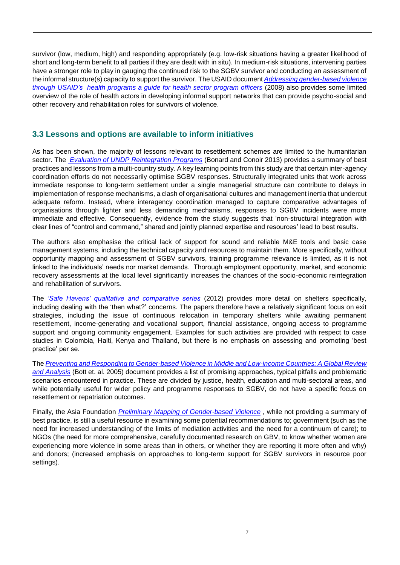survivor (low, medium, high) and responding appropriately (e.g. low-risk situations having a greater likelihood of short and long-term benefit to all parties if they are dealt with in situ). In medium-risk situations, intervening parties have a stronger role to play in gauging the continued risk to the SGBV survivor and conducting an assessment of the informal structure(s) capacity to support the survivor. The USAID document *[Addressing gender-based violence](http://www.prb.org/igwg_media/GBVGuide08_english.pdf)  [through USAID's health programs a guide for health sector program officers](http://www.prb.org/igwg_media/GBVGuide08_english.pdf)* (2008) also provides some limited overview of the role of health actors in developing informal support networks that can provide psycho-social and other recovery and rehabilitation roles for survivors of violence.

## <span id="page-9-0"></span>**3.3 Lessons and options are available to inform initiatives**

As has been shown, the majority of lessons relevant to resettlement schemes are limited to the humanitarian sector. The *[Evaluation of UNDP Reintegration Programs](http://erc.undp.org/evaluationadmin/manageevaluation/viewevaluationdetail.html?evalid=6162)* (Bonard and Conoir 2013) provides a summary of best practices and lessons from a multi-country study. A key learning points from this study are that certain inter-agency coordination efforts do not necessarily optimise SGBV responses. Structurally integrated units that work across immediate response to long-term settlement under a single managerial structure can contribute to delays in implementation of response mechanisms, a clash of organisational cultures and management inertia that undercut adequate reform. Instead, where interagency coordination managed to capture comparative advantages of organisations through lighter and less demanding mechanisms, responses to SGBV incidents were more immediate and effective. Consequently, evidence from the study suggests that 'non-structural integration with clear lines of "control and command," shared and jointly planned expertise and resources' lead to best results.

The authors also emphasise the critical lack of support for sound and reliable M&E tools and basic case management systems, including the technical capacity and resources to maintain them. More specifically, without opportunity mapping and assessment of SGBV survivors, training programme relevance is limited, as it is not linked to the individuals' needs nor market demands. Thorough employment opportunity, market, and economic recovery assessments at the local level significantly increases the chances of the socio-economic reintegration and rehabilitation of survivors.

The *['Safe Havens' qualitative and comparative series](http://www.law.berkeley.edu/files/HRC/SS_Comparative_web.pdf)* (2012) provides more detail on shelters specifically, including dealing with the 'then what?' concerns. The papers therefore have a relatively significant focus on exit strategies, including the issue of continuous relocation in temporary shelters while awaiting permanent resettlement, income-generating and vocational support, financial assistance, ongoing access to programme support and ongoing community engagement. Examples for such activities are provided with respect to case studies in Colombia, Haiti, Kenya and Thailand, but there is no emphasis on assessing and promoting 'best practice' per se.

The *[Preventing and Responding to Gender-based Violence in Middle and Low-income Countries: A Global Review](http://www-wds.worldbank.org/servlet/WDSContentServer/IW3P/IB/2005/06/28/000112742_20050628084339/Rendered/PDF/wps3618.pdf)  [and Analysis](http://www-wds.worldbank.org/servlet/WDSContentServer/IW3P/IB/2005/06/28/000112742_20050628084339/Rendered/PDF/wps3618.pdf)* (Bott et. al. 2005) document provides a list of promising approaches, typical pitfalls and problematic scenarios encountered in practice. These are divided by justice, health, education and multi-sectoral areas, and while potentially useful for wider policy and programme responses to SGBV, do not have a specific focus on resettlement or repatriation outcomes.

Finally, the Asia Foundation *[Preliminary Mapping of Gender-based Violence](http://www.womankind.org.uk/wp-content/uploads/2012/03/Saathi-Nepal-GBV-Mapping-July-2010.pdf)* , while not providing a summary of best practice, is still a useful resource in examining some potential recommendations to; government (such as the need for increased understanding of the limits of mediation activities and the need for a continuum of care); to NGOs (the need for more comprehensive, carefully documented research on GBV, to know whether women are experiencing more violence in some areas than in others, or whether they are reporting it more often and why) and donors; (increased emphasis on approaches to long-term support for SGBV survivors in resource poor settings).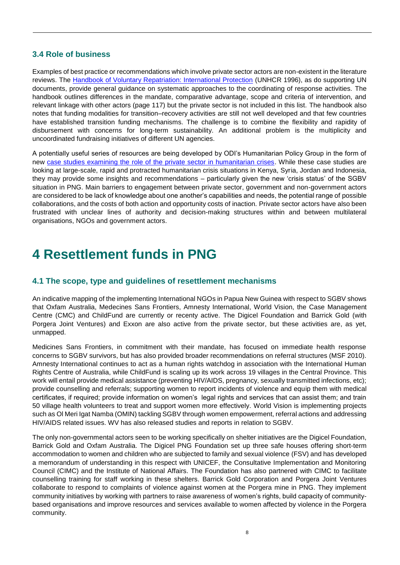## <span id="page-10-0"></span>**3.4 Role of business**

Examples of best practice or recommendations which involve private sector actors are non-existent in the literature reviews. The [Handbook of Voluntary Repatriation: International Protection](http://www.unhcr.org/3bfe68d32.html) (UNHCR 1996), as do supporting UN documents, provide general guidance on systematic approaches to the coordinating of response activities. The handbook outlines differences in the mandate, comparative advantage, scope and criteria of intervention, and relevant linkage with other actors (page 117) but the private sector is not included in this list. The handbook also notes that funding modalities for transition–recovery activities are still not well developed and that few countries have established transition funding mechanisms. The challenge is to combine the flexibility and rapidity of disbursement with concerns for long-term sustainability. An additional problem is the multiplicity and uncoordinated fundraising initiatives of different UN agencies.

A potentially useful series of resources are being developed by ODI's Humanitarian Policy Group in the form of new [case studies examining the role of the private sector in humanitarian crises.](http://www.odi.org.uk/projects/2738-humanitarian-private-sector-engagement) While these case studies are looking at large-scale, rapid and protracted humanitarian crisis situations in Kenya, Syria, Jordan and Indonesia, they may provide some insights and recommendations – particularly given the new 'crisis status' of the SGBV situation in PNG. Main barriers to engagement between private sector, government and non-government actors are considered to be lack of knowledge about one another's capabilities and needs, the potential range of possible collaborations, and the costs of both action and opportunity costs of inaction. Private sector actors have also been frustrated with unclear lines of authority and decision-making structures within and between multilateral organisations, NGOs and government actors.

## <span id="page-10-1"></span>**4 Resettlement funds in PNG**

### <span id="page-10-2"></span>**4.1 The scope, type and guidelines of resettlement mechanisms**

An indicative mapping of the implementing International NGOs in Papua New Guinea with respect to SGBV shows that Oxfam Australia, Medecines Sans Frontiers, Amnesty International, World Vision, the Case Management Centre (CMC) and ChildFund are currently or recenty active. The Digicel Foundation and Barrick Gold (with Porgera Joint Ventures) and Exxon are also active from the private sector, but these activities are, as yet, unmapped.

Medicines Sans Frontiers, in commitment with their mandate, has focused on immediate health response concerns to SGBV survivors, but has also provided broader recommendations on referral structures (MSF 2010). Amnesty International continues to act as a human rights watchdog in association with the International Human Rights Centre of Australia, while ChildFund is scaling up its work across 19 villages in the Central Province. This work will entail provide medical assistance (preventing HIV/AIDS, pregnancy, sexually transmitted infections, etc); provide counselling and referrals; supporting women to report incidents of violence and equip them with medical certificates, if required; provide information on women's legal rights and services that can assist them; and train 50 village health volunteers to treat and support women more effectively. World Vision is implementing projects such as Ol Meri Igat Namba (OMIN) tackling SGBV through women empowerment, referral actions and addressing HIV/AIDS related issues. WV has also released studies and reports in relation to SGBV.

The only non-governmental actors seen to be working specifically on shelter initiatives are the Digicel Foundation, Barrick Gold and Oxfam Australia. The Digicel PNG Foundation set up three safe houses offering short-term accommodation to women and children who are subjected to family and sexual violence (FSV) and has developed a memorandum of understanding in this respect with UNICEF, the Consultative Implementation and Monitoring Council (CIMC) and the Institute of National Affairs. The Foundation has also partnered with CIMC to facilitate counselling training for staff working in these shelters. Barrick Gold Corporation and Porgera Joint Ventures collaborate to respond to complaints of violence against women at the Porgera mine in PNG. They implement community initiatives by working with partners to raise awareness of women's rights, build capacity of communitybased organisations and improve resources and services available to women affected by violence in the Porgera community.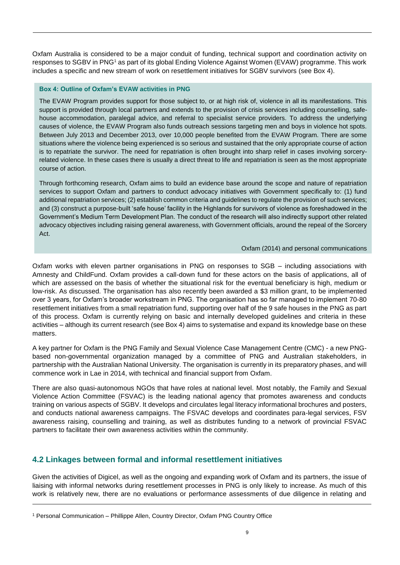Oxfam Australia is considered to be a major conduit of funding, technical support and coordination activity on responses to SGBV in PNG<sup>1</sup> as part of its global Ending Violence Against Women (EVAW) programme. This work includes a specific and new stream of work on resettlement initiatives for SGBV survivors (see Box 4).

#### **Box 4: Outline of Oxfam's EVAW activities in PNG**

The EVAW Program provides support for those subject to, or at high risk of, violence in all its manifestations. This support is provided through local partners and extends to the provision of crisis services including counselling, safehouse accommodation, paralegal advice, and referral to specialist service providers. To address the underlying causes of violence, the EVAW Program also funds outreach sessions targeting men and boys in violence hot spots. Between July 2013 and December 2013, over 10,000 people benefited from the EVAW Program. There are some situations where the violence being experienced is so serious and sustained that the only appropriate course of action is to repatriate the survivor. The need for repatriation is often brought into sharp relief in cases involving sorceryrelated violence. In these cases there is usually a direct threat to life and repatriation is seen as the most appropriate course of action.

Through forthcoming research, Oxfam aims to build an evidence base around the scope and nature of repatriation services to support Oxfam and partners to conduct advocacy initiatives with Government specifically to: (1) fund additional repatriation services; (2) establish common criteria and guidelines to regulate the provision of such services; and (3) construct a purpose-built 'safe house' facility in the Highlands for survivors of violence as foreshadowed in the Government's Medium Term Development Plan. The conduct of the research will also indirectly support other related advocacy objectives including raising general awareness, with Government officials, around the repeal of the Sorcery Act.

#### Oxfam (2014) and personal communications

Oxfam works with eleven partner organisations in PNG on responses to SGB – including associations with Amnesty and ChildFund. Oxfam provides a call-down fund for these actors on the basis of applications, all of which are assessed on the basis of whether the situational risk for the eventual beneficiary is high, medium or low-risk. As discussed. The organisation has also recently been awarded a \$3 million grant, to be implemented over 3 years, for Oxfam's broader workstream in PNG. The organisation has so far managed to implement 70-80 resettlement initiatives from a small repatriation fund, supporting over half of the 9 safe houses in the PNG as part of this process. Oxfam is currently relying on basic and internally developed guidelines and criteria in these activities – although its current research (see Box 4) aims to systematise and expand its knowledge base on these matters.

A key partner for Oxfam is the PNG Family and Sexual Violence Case Management Centre (CMC) - a new PNGbased non-governmental organization managed by a committee of PNG and Australian stakeholders, in partnership with the Australian National University. The organisation is currently in its preparatory phases, and will commence work in Lae in 2014, with technical and financial support from Oxfam.

There are also quasi-autonomous NGOs that have roles at national level. Most notably, the Family and Sexual Violence Action Committee (FSVAC) is the leading national agency that promotes awareness and conducts training on various aspects of SGBV. It develops and circulates legal literacy informational brochures and posters, and conducts national awareness campaigns. The FSVAC develops and coordinates para-legal services, FSV awareness raising, counselling and training, as well as distributes funding to a network of provincial FSVAC partners to facilitate their own awareness activities within the community.

## <span id="page-11-0"></span>**4.2 Linkages between formal and informal resettlement initiatives**

Given the activities of Digicel, as well as the ongoing and expanding work of Oxfam and its partners, the issue of liaising with informal networks during resettlement processes in PNG is only likely to increase. As much of this work is relatively new, there are no evaluations or performance assessments of due diligence in relating and

<sup>1</sup> Personal Communication – Phillippe Allen, Country Director, Oxfam PNG Country Office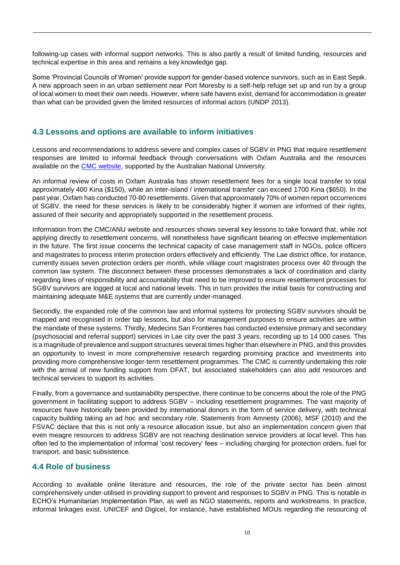following-up cases with informal support networks. This is also partly a result of limited funding, resources and technical expertise in this area and remains a key knowledge gap.

Some 'Provincial Councils of Women' provide support for gender-based violence survivors, such as in East Sepik. A new approach seen in an urban settlement near Port Moresby is a self-help refuge set up and run by a group of local women to meet their own needs. However, where safe havens exist, demand for accommodation is greater than what can be provided given the limited resources of informal actors (UNDP 2013).

## <span id="page-12-0"></span>**4.3 Lessons and options are available to inform initiatives**

Lessons and recommendations to address severe and complex cases of SGBV in PNG that require resettlement responses are limited to informal feedback through conversations with Oxfam Australia and the resources available on the **CMC** website, supported by the Australian National University.

An informal review of costs in Oxfam Australia has shown resettlement fees for a single local transfer to total approximately 400 Kina (\$150), while an inter-island / international transfer can exceed 1700 Kina (\$650). In the past year, Oxfam has conducted 70-80 resettlements. Given that approximately 70% of women report occurrences of SGBV, the need for these services is likely to be considerably higher if women are informed of their rights, assured of their security and appropriately supported in the resettlement process.

Information from the CMC/ANU website and resources shows several key lessons to take forward that, while not applying directly to resettlement concerns, will nonetheless have significant bearing on effective implementation in the future. The first issue concerns the technical capacity of case management staff in NGOs, police officers and magistrates to process interim protection orders effectively and efficiently. The Lae district office, for instance, currently issues seven protection orders per month, while village court magistrates process over 40 through the common law system. The disconnect between these processes demonstrates a lack of coordination and clarity regarding lines of responsibility and accountability that need to be improved to ensure resettlement processes for SGBV survivors are logged at local and national levels. This in turn provides the initial basis for constructing and maintaining adequate M&E systems that are currently under-managed.

Secondly, the expanded role of the common law and informal systems for protecting SGBV survivors should be mapped and recognised in order tap lessons, but also for management purposes to ensure activities are within the mandate of these systems. Thirdly, Medecins San Frontieres has conducted extensive primary and secondary (psychosocial and referral support) services in Lae city over the past 3 years, recording up to 14 000 cases. This is a magnitude of prevalence and support structures several times higher than elsewhere in PNG, and this provides an opportunity to invest in more comprehensive research regarding promising practice and investments into providing more comprehensive longer-term resettlement programmes. The CMC is currently undertaking this role with the arrival of new funding support from DFAT, but associated stakeholders can also add resources and technical services to support its activities.

Finally, from a governance and sustainability perspective, there continue to be concerns about the role of the PNG government in facilitating support to address SGBV – including resettlement programmes. The vast majority of resources have historically been provided by international donors in the form of service delivery, with technical capacity building taking an ad hoc and secondary role. Statements from Amnesty (2006), MSF (2010) and the FSVAC declare that this is not only a resource allocation issue, but also an implementation concern given that even meagre resources to address SGBV are not reaching destination service providers at local level. This has often led to the implementation of informal 'cost recovery' fees – including charging for protection orders, fuel for transport, and basic subsistence.

### <span id="page-12-1"></span>**4.4 Role of business**

According to available online literature and resources, the role of the private sector has been almost comprehensively under-utilised in providing support to prevent and responses to SGBV in PNG. This is notable in ECHO's Humanitarian Implementation Plan, as well as NGO statements, reports and workstreams. In practice, informal linkages exist. UNICEF and Digicel, for instance, have established MOUs regarding the resourcing of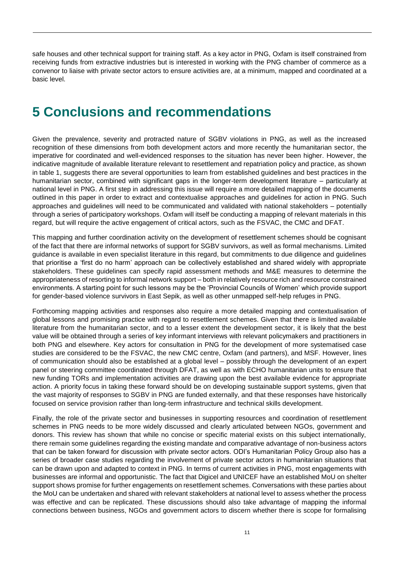safe houses and other technical support for training staff. As a key actor in PNG, Oxfam is itself constrained from receiving funds from extractive industries but is interested in working with the PNG chamber of commerce as a convenor to liaise with private sector actors to ensure activities are, at a minimum, mapped and coordinated at a basic level.

## <span id="page-13-0"></span>**5 Conclusions and recommendations**

Given the prevalence, severity and protracted nature of SGBV violations in PNG, as well as the increased recognition of these dimensions from both development actors and more recently the humanitarian sector, the imperative for coordinated and well-evidenced responses to the situation has never been higher. However, the indicative magnitude of available literature relevant to resettlement and repatriation policy and practice, as shown in table 1, suggests there are several opportunities to learn from established guidelines and best practices in the humanitarian sector, combined with significant gaps in the longer-term development literature – particularly at national level in PNG. A first step in addressing this issue will require a more detailed mapping of the documents outlined in this paper in order to extract and contextualise approaches and guidelines for action in PNG. Such approaches and guidelines will need to be communicated and validated with national stakeholders – potentially through a series of participatory workshops. Oxfam will itself be conducting a mapping of relevant materials in this regard, but will require the active engagement of critical actors, such as the FSVAC, the CMC and DFAT.

This mapping and further coordination activity on the development of resettlement schemes should be cognisant of the fact that there are informal networks of support for SGBV survivors, as well as formal mechanisms. Limited guidance is available in even specialist literature in this regard, but commitments to due diligence and guidelines that prioritise a 'first do no harm' approach can be collectively established and shared widely with appropriate stakeholders. These guidelines can specify rapid assessment methods and M&E measures to determine the appropriateness of resorting to informal network support – both in relatively resource rich and resource constrained environments. A starting point for such lessons may be the 'Provincial Councils of Women' which provide support for gender-based violence survivors in East Sepik, as well as other unmapped self-help refuges in PNG.

Forthcoming mapping activities and responses also require a more detailed mapping and contextualisation of global lessons and promising practice with regard to resettlement schemes. Given that there is limited available literature from the humanitarian sector, and to a lesser extent the development sector, it is likely that the best value will be obtained through a series of key informant interviews with relevant policymakers and practitioners in both PNG and elsewhere. Key actors for consultation in PNG for the development of more systematised case studies are considered to be the FSVAC, the new CMC centre, Oxfam (and partners), and MSF. However, lines of communication should also be established at a global level – possibly through the development of an expert panel or steering committee coordinated through DFAT, as well as with ECHO humanitarian units to ensure that new funding TORs and implementation activities are drawing upon the best available evidence for appropriate action. A priority focus in taking these forward should be on developing sustainable support systems, given that the vast majority of responses to SGBV in PNG are funded externally, and that these responses have historically focused on service provision rather than long-term infrastructure and technical skills development.

Finally, the role of the private sector and businesses in supporting resources and coordination of resettlement schemes in PNG needs to be more widely discussed and clearly articulated between NGOs, government and donors. This review has shown that while no concise or specific material exists on this subject internationally, there remain some guidelines regarding the existing mandate and comparative advantage of non-business actors that can be taken forward for discussion with private sector actors. ODI's Humanitarian Policy Group also has a series of broader case studies regarding the involvement of private sector actors in humanitarian situations that can be drawn upon and adapted to context in PNG. In terms of current activities in PNG, most engagements with businesses are informal and opportunistic. The fact that Digicel and UNICEF have an established MoU on shelter support shows promise for further engagements on resettlement schemes. Conversations with these parties about the MoU can be undertaken and shared with relevant stakeholders at national level to assess whether the process was effective and can be replicated. These discussions should also take advantage of mapping the informal connections between business, NGOs and government actors to discern whether there is scope for formalising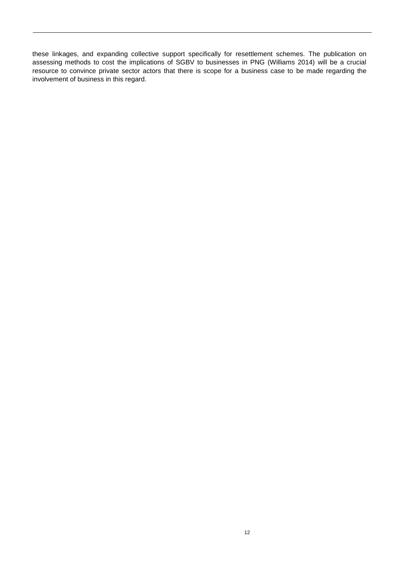these linkages, and expanding collective support specifically for resettlement schemes. The publication on assessing methods to cost the implications of SGBV to businesses in PNG (Williams 2014) will be a crucial resource to convince private sector actors that there is scope for a business case to be made regarding the involvement of business in this regard.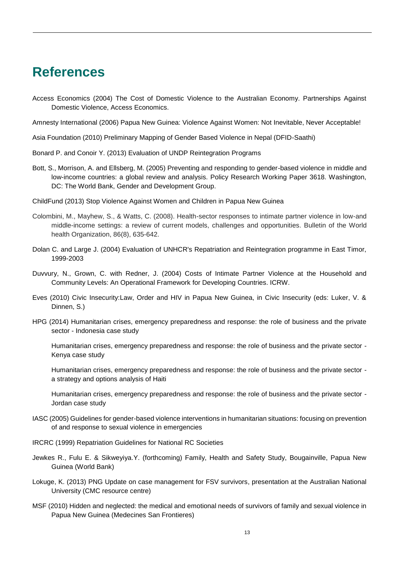## <span id="page-15-0"></span>**References**

Access Economics (2004) The Cost of Domestic Violence to the Australian Economy. Partnerships Against Domestic Violence, Access Economics.

Amnesty International (2006) Papua New Guinea: Violence Against Women: Not Inevitable, Never Acceptable!

Asia Foundation (2010) Preliminary Mapping of Gender Based Violence in Nepal (DFID-Saathi)

Bonard P. and Conoir Y. (2013) Evaluation of UNDP Reintegration Programs

- Bott, S., Morrison, A. and Ellsberg, M. (2005) Preventing and responding to gender-based violence in middle and low-income countries: a global review and analysis. Policy Research Working Paper 3618. Washington, DC: The World Bank, Gender and Development Group.
- ChildFund (2013) Stop Violence Against Women and Children in Papua New Guinea
- Colombini, M., Mayhew, S., & Watts, C. (2008). Health-sector responses to intimate partner violence in low-and middle-income settings: a review of current models, challenges and opportunities. Bulletin of the World health Organization, 86(8), 635-642.
- Dolan C. and Large J. (2004) Evaluation of UNHCR's Repatriation and Reintegration programme in East Timor, 1999-2003
- Duvvury, N., Grown, C. with Redner, J. (2004) Costs of Intimate Partner Violence at the Household and Community Levels: An Operational Framework for Developing Countries. ICRW.
- Eves (2010) Civic Insecurity:Law, Order and HIV in Papua New Guinea, in Civic Insecurity (eds: Luker, V. & Dinnen, S.)
- HPG (2014) Humanitarian crises, emergency preparedness and response: the role of business and the private sector - Indonesia case study

Humanitarian crises, emergency preparedness and response: the role of business and the private sector - Kenya case study

Humanitarian crises, emergency preparedness and response: the role of business and the private sector a strategy and options analysis of Haiti

Humanitarian crises, emergency preparedness and response: the role of business and the private sector - Jordan case study

- IASC (2005) Guidelines for gender-based violence interventions in humanitarian situations: focusing on prevention of and response to sexual violence in emergencies
- IRCRC (1999) Repatriation Guidelines for National RC Societies
- Jewkes R., Fulu E. & Sikweyiya.Y. (forthcoming) Family, Health and Safety Study, Bougainville, Papua New Guinea (World Bank)
- Lokuge, K. (2013) PNG Update on case management for FSV survivors, presentation at the Australian National University (CMC resource centre)
- MSF (2010) Hidden and neglected: the medical and emotional needs of survivors of family and sexual violence in Papua New Guinea (Medecines San Frontieres)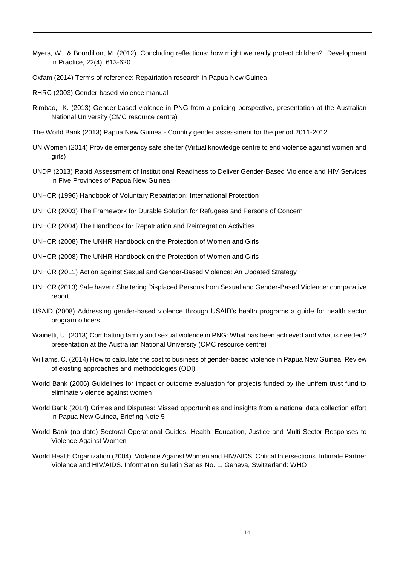- Myers, W., & Bourdillon, M. (2012). Concluding reflections: how might we really protect children?. Development in Practice, 22(4), 613-620
- Oxfam (2014) Terms of reference: Repatriation research in Papua New Guinea
- RHRC (2003) Gender-based violence manual
- Rimbao, K. (2013) Gender-based violence in PNG from a policing perspective, presentation at the Australian National University (CMC resource centre)
- The World Bank (2013) Papua New Guinea Country gender assessment for the period 2011-2012
- UN Women (2014) Provide emergency safe shelter (Virtual knowledge centre to end violence against women and girls)
- UNDP (2013) Rapid Assessment of Institutional Readiness to Deliver Gender-Based Violence and HIV Services in Five Provinces of Papua New Guinea
- UNHCR (1996) Handbook of Voluntary Repatriation: International Protection
- UNHCR (2003) The Framework for Durable Solution for Refugees and Persons of Concern
- UNHCR (2004) The Handbook for Repatriation and Reintegration Activities
- UNHCR (2008) The UNHR Handbook on the Protection of Women and Girls
- UNHCR (2008) The UNHR Handbook on the Protection of Women and Girls
- UNHCR (2011) Action against Sexual and Gender-Based Violence: An Updated Strategy
- UNHCR (2013) Safe haven: Sheltering Displaced Persons from Sexual and Gender-Based Violence: comparative report
- USAID (2008) Addressing gender-based violence through USAID's health programs a guide for health sector program officers
- Wainetti, U. (2013) Combatting family and sexual violence in PNG: What has been achieved and what is needed? presentation at the Australian National University (CMC resource centre)
- Williams, C. (2014) How to calculate the cost to business of gender-based violence in Papua New Guinea, Review of existing approaches and methodologies (ODI)
- World Bank (2006) Guidelines for impact or outcome evaluation for projects funded by the unifem trust fund to eliminate violence against women
- World Bank (2014) Crimes and Disputes: Missed opportunities and insights from a national data collection effort in Papua New Guinea, Briefing Note 5
- World Bank (no date) Sectoral Operational Guides: Health, Education, Justice and Multi-Sector Responses to Violence Against Women
- World Health Organization (2004). Violence Against Women and HIV/AIDS: Critical Intersections. Intimate Partner Violence and HIV/AIDS. Information Bulletin Series No. 1. Geneva, Switzerland: WHO